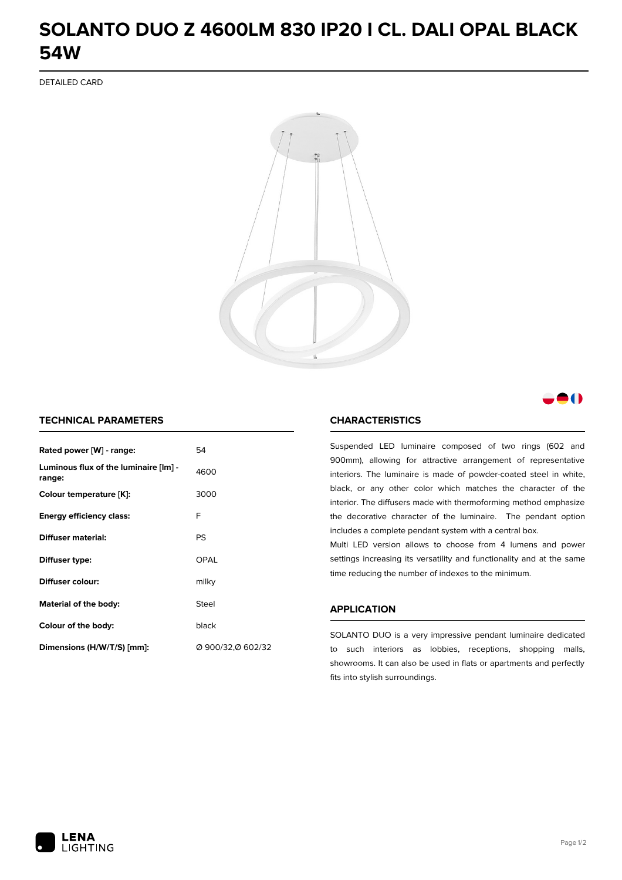# **SOLANTO DUO Z 4600LM 830 IP20 I CL. DALI OPAL BLACK 54W**

DETAILED CARD



## M

### **TECHNICAL PARAMETERS**

| Rated power [W] - range:                        | 54                |
|-------------------------------------------------|-------------------|
| Luminous flux of the luminaire [lm] -<br>range: | 4600              |
| Colour temperature [K]:                         | 3000              |
| <b>Energy efficiency class:</b>                 | F                 |
| Diffuser material:                              | PS                |
| Diffuser type:                                  | OPAL              |
| Diffuser colour:                                | milky             |
| Material of the body:                           | Steel             |
| Colour of the body:                             | black             |
| Dimensions (H/W/T/S) [mm]:                      | Ø 900/32,Ø 602/32 |

#### **CHARACTERISTICS**

Suspended LED luminaire composed of two rings (602 and 900mm), allowing for attractive arrangement of representative interiors. The luminaire is made of powder-coated steel in white, black, or any other color which matches the character of the interior. The diffusers made with thermoforming method emphasize the decorative character of the luminaire. The pendant option includes a complete pendant system with a central box.

Multi LED version allows to choose from 4 lumens and power settings increasing its versatility and functionality and at the same time reducing the number of indexes to the minimum.

#### **APPLICATION**

SOLANTO DUO is a very impressive pendant luminaire dedicated to such interiors as lobbies, receptions, shopping malls, showrooms. It can also be used in flats or apartments and perfectly fits into stylish surroundings.